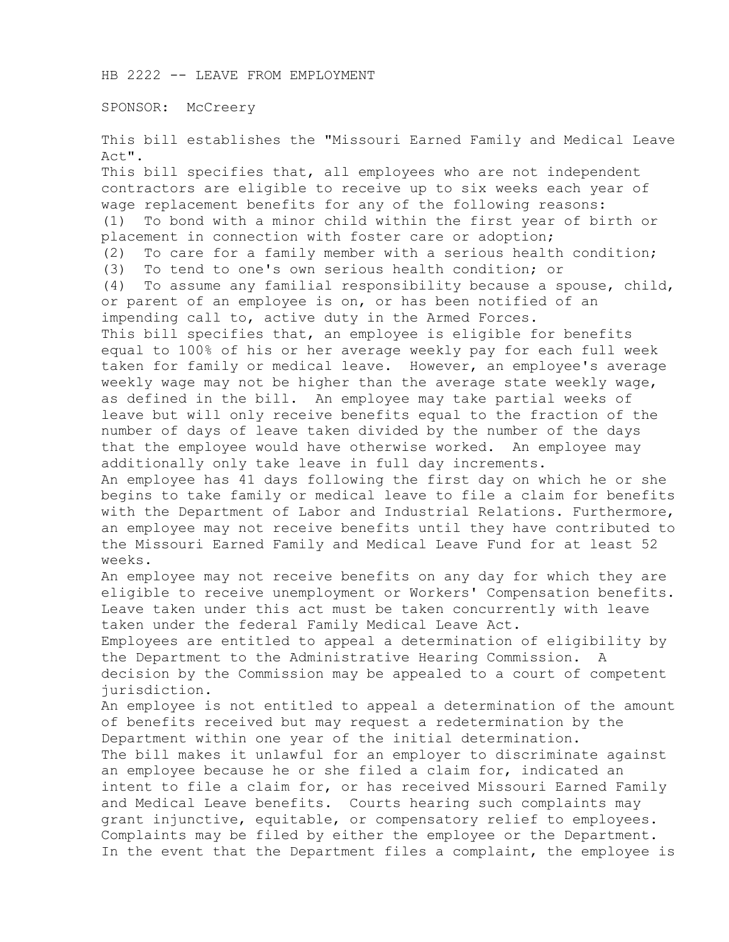HB 2222 -- LEAVE FROM EMPLOYMENT

SPONSOR: McCreery

This bill establishes the "Missouri Earned Family and Medical Leave Act".

This bill specifies that, all employees who are not independent contractors are eligible to receive up to six weeks each year of wage replacement benefits for any of the following reasons: (1) To bond with a minor child within the first year of birth or placement in connection with foster care or adoption; (2) To care for a family member with a serious health condition; (3) To tend to one's own serious health condition; or (4) To assume any familial responsibility because a spouse, child, or parent of an employee is on, or has been notified of an impending call to, active duty in the Armed Forces. This bill specifies that, an employee is eligible for benefits equal to 100% of his or her average weekly pay for each full week taken for family or medical leave. However, an employee's average weekly wage may not be higher than the average state weekly wage, as defined in the bill. An employee may take partial weeks of leave but will only receive benefits equal to the fraction of the number of days of leave taken divided by the number of the days that the employee would have otherwise worked. An employee may additionally only take leave in full day increments. An employee has 41 days following the first day on which he or she begins to take family or medical leave to file a claim for benefits with the Department of Labor and Industrial Relations. Furthermore, an employee may not receive benefits until they have contributed to the Missouri Earned Family and Medical Leave Fund for at least 52 weeks. An employee may not receive benefits on any day for which they are eligible to receive unemployment or Workers' Compensation benefits. Leave taken under this act must be taken concurrently with leave taken under the federal Family Medical Leave Act. Employees are entitled to appeal a determination of eligibility by the Department to the Administrative Hearing Commission. A decision by the Commission may be appealed to a court of competent jurisdiction. An employee is not entitled to appeal a determination of the amount of benefits received but may request a redetermination by the Department within one year of the initial determination. The bill makes it unlawful for an employer to discriminate against an employee because he or she filed a claim for, indicated an intent to file a claim for, or has received Missouri Earned Family and Medical Leave benefits. Courts hearing such complaints may grant injunctive, equitable, or compensatory relief to employees. Complaints may be filed by either the employee or the Department. In the event that the Department files a complaint, the employee is